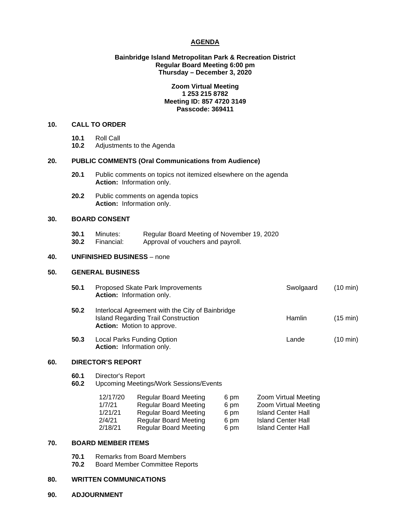## **AGENDA**

## **Bainbridge Island Metropolitan Park & Recreation District Regular Board Meeting 6:00 pm Thursday – December 3, 2020**

## **Zoom Virtual Meeting 1 253 215 8782 Meeting ID: 857 4720 3149 Passcode: 369411**

## **10. CALL TO ORDER**

- 
- **10.1** Roll Call **10.2** Adjustments to the Agenda

## **20. PUBLIC COMMENTS (Oral Communications from Audience)**

- **20.1** Public comments on topics not itemized elsewhere on the agenda **Action:** Information only.
- **20.2** Public comments on agenda topics **Action:** Information only.

## **30. BOARD CONSENT**

**30.1** Minutes: Regular Board Meeting of November 19, 2020<br>**30.2** Financial: Approval of vouchers and pavroll. Approval of vouchers and payroll.

#### **40. UNFINISHED BUSINESS** – none

#### **50. GENERAL BUSINESS**

| 50.1 | Proposed Skate Park Improvements<br>Action: Information only.                                                                | Swolgaard | $(10 \text{ min})$ |
|------|------------------------------------------------------------------------------------------------------------------------------|-----------|--------------------|
| 50.2 | Interlocal Agreement with the City of Bainbridge<br><b>Island Regarding Trail Construction</b><br>Action: Motion to approve. | Hamlin    | $(15 \text{ min})$ |
| 50.3 | Local Parks Funding Option<br>Action: Information only.                                                                      | Lande     | $(10 \text{ min})$ |

#### **60. DIRECTOR'S REPORT**

- **60.1** Director's Report
- **60.2** Upcoming Meetings/Work Sessions/Events

| 12/17/20 | <b>Regular Board Meeting</b> | 6 pm | Zoom Virtual Meeting      |
|----------|------------------------------|------|---------------------------|
| 1/7/21   | <b>Regular Board Meeting</b> | 6 pm | Zoom Virtual Meeting      |
| 1/21/21  | <b>Regular Board Meeting</b> | 6 pm | <b>Island Center Hall</b> |
| 2/4/21   | <b>Regular Board Meeting</b> | 6 pm | <b>Island Center Hall</b> |
| 2/18/21  | <b>Regular Board Meeting</b> | 6 pm | <b>Island Center Hall</b> |

#### **70. BOARD MEMBER ITEMS**

- **70.1** Remarks from Board Members<br>**70.2** Board Member Committee Rep
- **70.2** Board Member Committee Reports

# **80. WRITTEN COMMUNICATIONS**

**90. ADJOURNMENT**